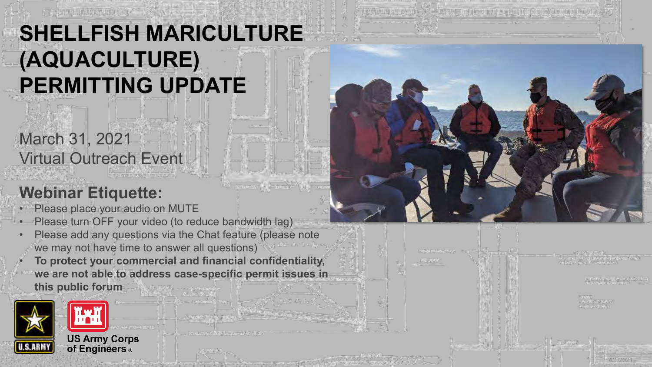# **SHELLFISH MARICULTURE (AQUACULTURE) PERMITTING UPDATE**

### **Webinar Etiquette:**

Virtual Outreach Event

March 31, 2021

- Please place your audio on MUTE
- Please turn OFF your video (to reduce bandwidth lag)
- Please add any questions via the Chat feature (please note we may not have time to answer all questions)
- **To protect your commercial and financial confidentiality, we are not able to address case-specific permit issues in this public forum**



| ш | ٠<br>٠<br>×ь.<br>m<br>۰<br>ш | <br>÷<br>-<br>_<br>٠ | -<br>-      | --<br>--<br>٠<br>æ | - |
|---|------------------------------|----------------------|-------------|--------------------|---|
|   | m<br>1<br>59<br>٠<br>        | υ<br>к<br>٠          | ı<br>ı<br>٠ | ٠<br>ـ             |   |
|   |                              |                      |             |                    |   |
|   |                              |                      |             |                    |   |

P6.6300

4/1/2021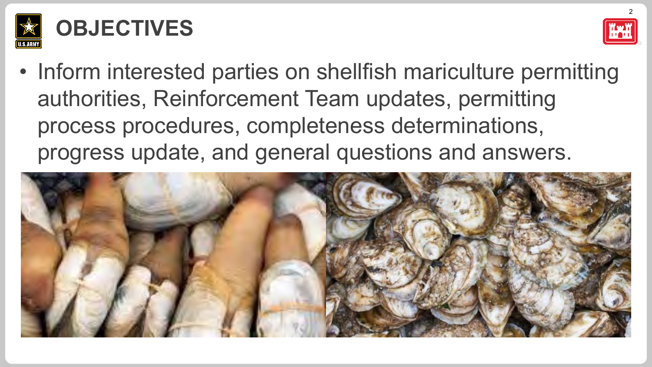

## **OBJECTIVES**



• Inform interested parties on shellfish mariculture permitting authorities, Reinforcement Team updates, permitting process procedures, completeness determinations, progress update, and general questions and answers.

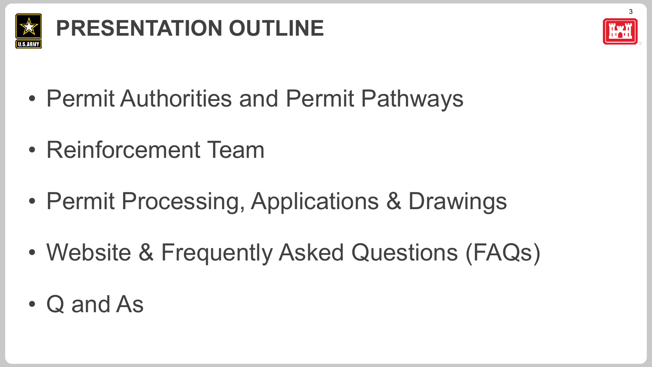

# **PRESENTATION OUTLINE**



- Permit Authorities and Permit Pathways
- Reinforcement Team
- Permit Processing, Applications & Drawings
- Website & Frequently Asked Questions (FAQs)
- Q and As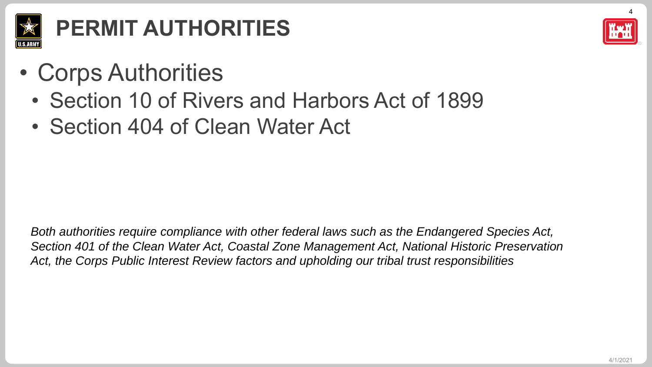

# **PERMIT AUTHORITIES**

4

- Corps Authorities
	- Section 10 of Rivers and Harbors Act of 1899
	- Section 404 of Clean Water Act

*Both authorities require compliance with other federal laws such as the Endangered Species Act, Section 401 of the Clean Water Act, Coastal Zone Management Act, National Historic Preservation Act, the Corps Public Interest Review factors and upholding our tribal trust responsibilities*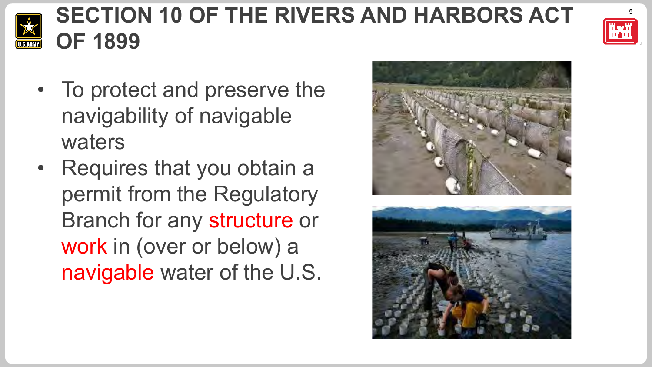

## <sup>5</sup> **SECTION 10 OF THE RIVERS AND HARBORS ACT OF 1899**

- To protect and preserve the navigability of navigable waters
- Requires that you obtain a permit from the Regulatory Branch for any structure or work in (over or below) a navigable water of the U.S.



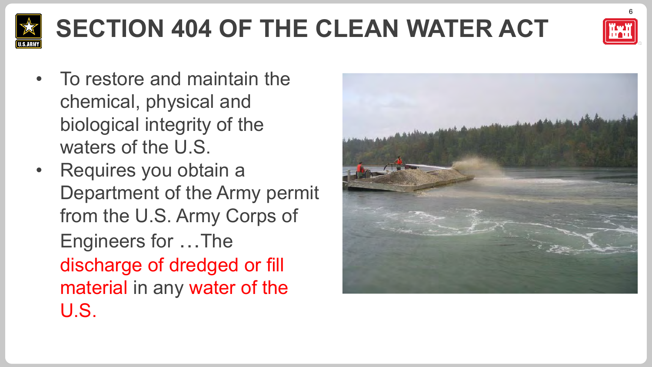

# **SECTION 404 OF THE CLEAN WATER ACT**



- To restore and maintain the chemical, physical and biological integrity of the waters of the U.S.
- Requires you obtain a Department of the Army permit from the U.S. Army Corps of Engineers for …The discharge of dredged or fill material in any water of the U.S.

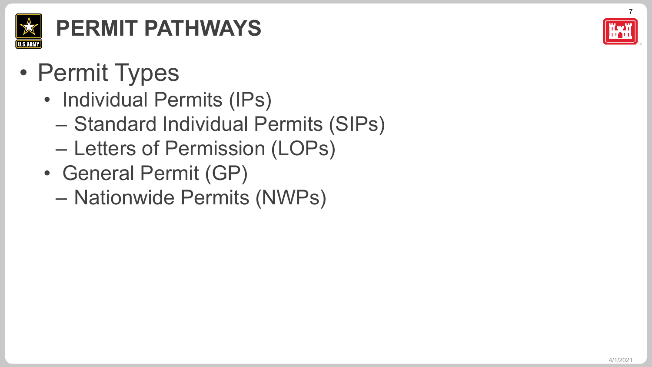

# **PERMIT PATHWAYS**

- Permit Types
	- Individual Permits (IPs)
		- Standard Individual Permits (SIPs)
		- Letters of Permission (LOPs)
	- General Permit (GP)
		- Nationwide Permits (NWPs)

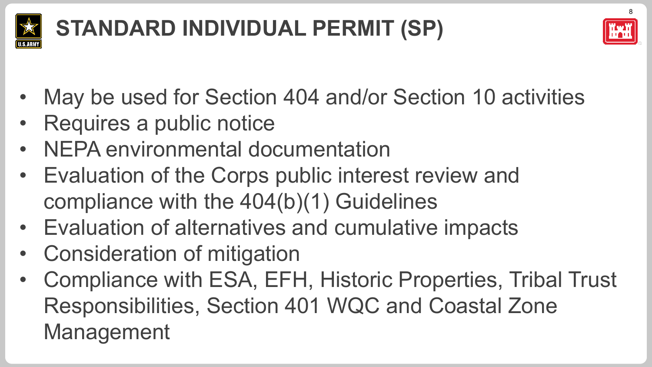

# **STANDARD INDIVIDUAL PERMIT (SP)**



- May be used for Section 404 and/or Section 10 activities
- Requires a public notice
- NEPA environmental documentation
- Evaluation of the Corps public interest review and compliance with the 404(b)(1) Guidelines
- Evaluation of alternatives and cumulative impacts
- Consideration of mitigation
- Compliance with ESA, EFH, Historic Properties, Tribal Trust Responsibilities, Section 401 WQC and Coastal Zone Management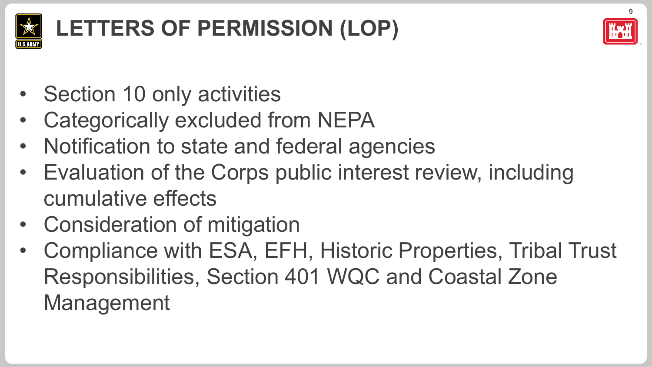

# **LETTERS OF PERMISSION (LOP)**



- Section 10 only activities
- Categorically excluded from NEPA
- Notification to state and federal agencies
- Evaluation of the Corps public interest review, including cumulative effects
- Consideration of mitigation
- Compliance with ESA, EFH, Historic Properties, Tribal Trust Responsibilities, Section 401 WQC and Coastal Zone Management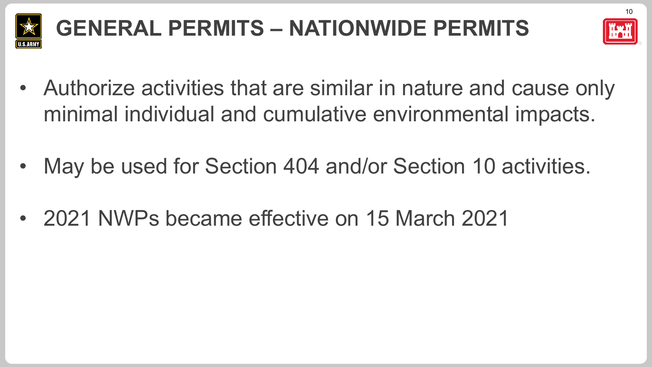

# **GENERAL PERMITS – NATIONWIDE PERMITS**



- Authorize activities that are similar in nature and cause only minimal individual and cumulative environmental impacts.
- May be used for Section 404 and/or Section 10 activities.
- 2021 NWPs became effective on 15 March 2021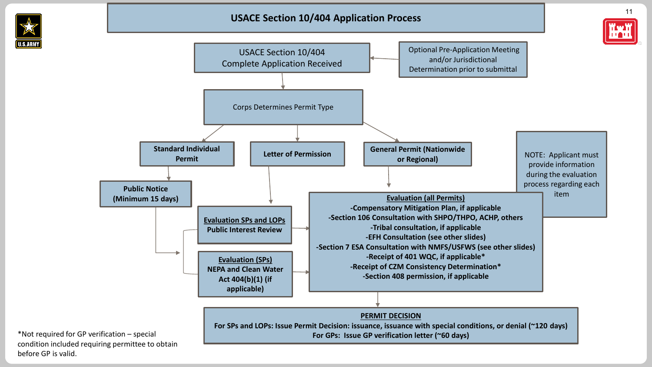

before GP is valid.



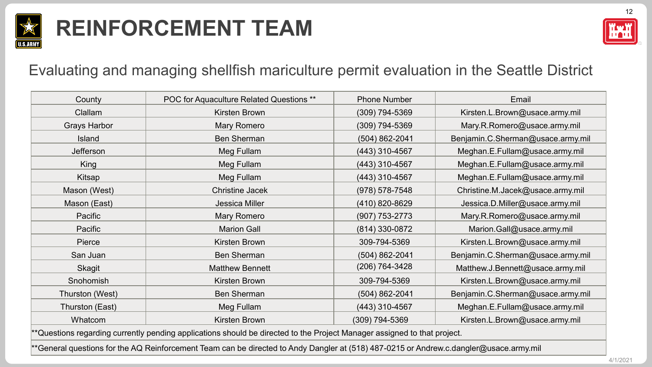

## **REINFORCEMENT TEAM**



#### Evaluating and managing shellfish mariculture permit evaluation in the Seattle District

| County              | POC for Aquaculture Related Questions **                                                                                 | <b>Phone Number</b> | Email                             |
|---------------------|--------------------------------------------------------------------------------------------------------------------------|---------------------|-----------------------------------|
| Clallam             | Kirsten Brown                                                                                                            | $(309)$ 794-5369    | Kirsten.L.Brown@usace.army.mil    |
| <b>Grays Harbor</b> | <b>Mary Romero</b>                                                                                                       | $(309)$ 794-5369    | Mary.R.Romero@usace.army.mil      |
| Island              | <b>Ben Sherman</b>                                                                                                       | $(504) 862 - 2041$  | Benjamin.C.Sherman@usace.army.mil |
| Jefferson           | Meg Fullam                                                                                                               | (443) 310-4567      | Meghan.E.Fullam@usace.army.mil    |
| King                | Meg Fullam                                                                                                               | (443) 310-4567      | Meghan.E.Fullam@usace.army.mil    |
| Kitsap              | Meg Fullam                                                                                                               | $(443)$ 310-4567    | Meghan.E.Fullam@usace.army.mil    |
| Mason (West)        | <b>Christine Jacek</b>                                                                                                   | $(978) 578 - 7548$  | Christine.M.Jacek@usace.army.mil  |
| Mason (East)        | Jessica Miller                                                                                                           | (410) 820-8629      | Jessica.D.Miller@usace.army.mil   |
| Pacific             | <b>Mary Romero</b>                                                                                                       | $(907)$ 753-2773    | Mary.R.Romero@usace.army.mil      |
| Pacific             | <b>Marion Gall</b>                                                                                                       | (814) 330-0872      | Marion.Gall@usace.army.mil        |
| Pierce              | Kirsten Brown                                                                                                            | 309-794-5369        | Kirsten.L.Brown@usace.army.mil    |
| San Juan            | <b>Ben Sherman</b>                                                                                                       | $(504) 862 - 2041$  | Benjamin.C.Sherman@usace.army.mil |
| Skagit              | <b>Matthew Bennett</b>                                                                                                   | $(206) 764 - 3428$  | Matthew.J.Bennett@usace.army.mil  |
| Snohomish           | Kirsten Brown                                                                                                            | 309-794-5369        | Kirsten.L.Brown@usace.army.mil    |
| Thurston (West)     | <b>Ben Sherman</b>                                                                                                       | $(504) 862 - 2041$  | Benjamin.C.Sherman@usace.army.mil |
| Thurston (East)     | Meg Fullam                                                                                                               | (443) 310-4567      | Meghan.E.Fullam@usace.army.mil    |
| Whatcom             | Kirsten Brown                                                                                                            | (309) 794-5369      | Kirsten.L.Brown@usace.army.mil    |
|                     | **Questions regarding currently pending applications should be directed to the Project Manager assigned to that project. |                     |                                   |
|                     |                                                                                                                          |                     |                                   |

\*\*General questions for the AQ Reinforcement Team can be directed to Andy Dangler at (518) 487-0215 or Andrew.c.dangler@usace.army.mil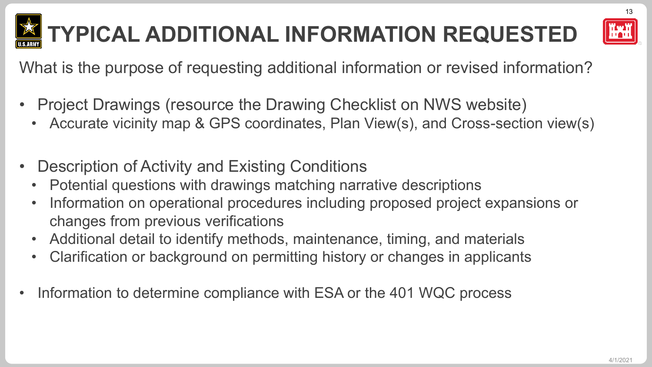

# **TYPICAL ADDITIONAL INFORMATION REQUESTED**



13

What is the purpose of requesting additional information or revised information?

- Project Drawings (resource the Drawing Checklist on NWS website)
	- Accurate vicinity map & GPS coordinates, Plan View(s), and Cross-section view(s)
- Description of Activity and Existing Conditions
	- Potential questions with drawings matching narrative descriptions
	- Information on operational procedures including proposed project expansions or changes from previous verifications
	- Additional detail to identify methods, maintenance, timing, and materials
	- Clarification or background on permitting history or changes in applicants
- Information to determine compliance with ESA or the 401 WQC process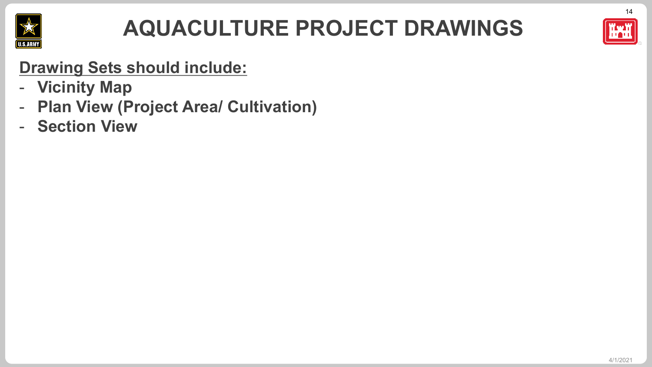

## **AQUACULTURE PROJECT DRAWINGS**



14

### **Drawing Sets should include:**

- **Vicinity Map**
- **Plan View (Project Area/ Cultivation)**
- **Section View**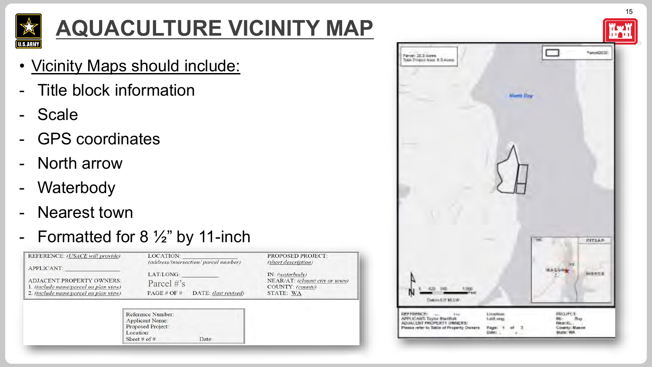

# **AQUACULTURE VICINITY MAP**

- Vicinity Maps should include:
- Title block information
- **Scale**
- GPS coordinates
- North arrow
- Waterbody
- **Nearest town**

### - Formatted for 8 ½" by 11-inch

| REFERENCE: (USACE will provide)<br><b>APPLICANT:</b>                                                               | LOCATION:                                                                                     | (address/intersection/parcel number) | <b>PROPOSED PROJECT:</b><br>(short description)                                             |
|--------------------------------------------------------------------------------------------------------------------|-----------------------------------------------------------------------------------------------|--------------------------------------|---------------------------------------------------------------------------------------------|
| <b>ADJACENT PROPERTY OWNERS:</b><br>1. (include name/parcel on plan view)<br>2. (include name/parcel on plan view) | LAT/LONG:<br>Parcel $\#$ 's<br>PAGE # OF #                                                    | DATE: (last revised)                 | IN: (water body)<br>NEAR/AT: (closest city or town)<br>COUNTY: (county)<br><b>STATE: WA</b> |
|                                                                                                                    | Reference Number:<br><b>Applicant Name:</b><br>Proposed Project:<br>Location:<br>Sheet # of # | Date:                                |                                                                                             |

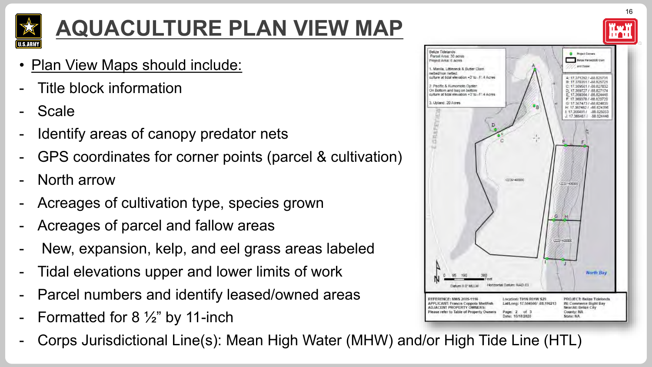

# **AQUACULTURE PLAN VIEW MAP**

- **Plan View Maps should include:**
- Title block information
- **Scale**
- Identify areas of canopy predator nets
- GPS coordinates for corner points (parcel & cultivation)
- North arrow
- Acreages of cultivation type, species grown
- Acreages of parcel and fallow areas
- New, expansion, kelp, and eel grass areas labeled
- Tidal elevations upper and lower limits of work
- Parcel numbers and identify leased/owned areas
- Formatted for 8  $\frac{1}{2}$ " by 11-inch
- Corps Jurisdictional Line(s): Mean High Water (MHW) and/or High Tide Line (HTL)

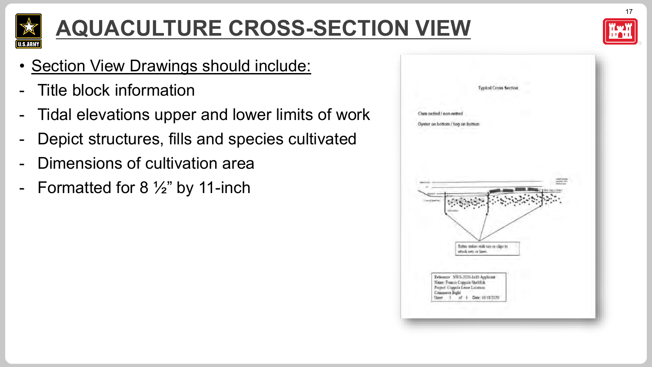

# **AQUACULTURE CROSS-SECTION VIEW**



17

- Section View Drawings should include:
- Title block information
- Tidal elevations upper and lower limits of work
- Depict structures, fills and species cultivated
- Dimensions of cultivation area
- Formatted for  $8\frac{1}{2}$ " by 11-inch

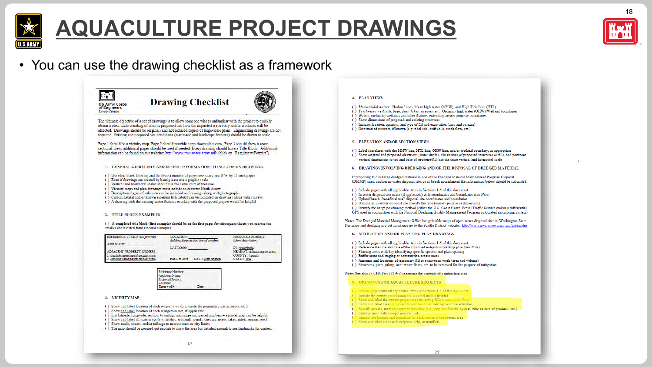

## **AQUACULTURE PROJECT DRAWINGS**



18

• You can use the drawing checklist as a framework

| <b>US Army Corps</b><br>of Engineers<br><b>Seattle District</b>                                                                                                                                                                       | <b>Drawing Checklist</b>                                                                                                                                                                                                                                                                                                                                                                                                                                                                                                         |                                                                  |
|---------------------------------------------------------------------------------------------------------------------------------------------------------------------------------------------------------------------------------------|----------------------------------------------------------------------------------------------------------------------------------------------------------------------------------------------------------------------------------------------------------------------------------------------------------------------------------------------------------------------------------------------------------------------------------------------------------------------------------------------------------------------------------|------------------------------------------------------------------|
|                                                                                                                                                                                                                                       | The ultimate objective of a set of drawings is to allow someone who is unfamiliar with the project to quickly<br>obtain a clear understanding of what is proposed and how the impacted waterbody and/or wetlands will be<br>affected. Drawings should be originals and not reduced copies of large-scale plans. Engineering drawings are not<br>required. Existing and proposed site conditions (manmade and landscape features) should be drawn to scale.                                                                       |                                                                  |
|                                                                                                                                                                                                                                       | Page 1 should be a vicinity map, Page 2 should provide a top-down plan view, Page 3 should show a cross-<br>sectional view; additional pages should be used if needed. Every drawing should have a Title Block. Additional<br>information can be found on our website: http://www.nws.usace.army.mil/ (click on "Regulatory/Permits")                                                                                                                                                                                            |                                                                  |
| т.                                                                                                                                                                                                                                    | GENERAL GUIDELINES AND USEFUL INFORMATION TO INCLUDE ON DRAWINGS                                                                                                                                                                                                                                                                                                                                                                                                                                                                 |                                                                  |
|                                                                                                                                                                                                                                       | () Use clear black lettering and the fewest number of pages necessary; use 8 1/2- by 11-inch paper<br>) Even if drawings are created by hand please use a graphic scale<br>() Vertical and horizontal scales should use the same units of measure<br>() Vicinity maps and plan drawings must include an accurate North Arrow<br>() Descriptions/types of substrate can be included on drawings along with photographs<br>() Critical habitat and/or known essential fish habitat can be indicated on drawings along with surveys |                                                                  |
| () A drawing with the existing water features overlaid with the proposed project would be helpful<br><b>TITLE BLOCK EXAMPLES</b><br>smaller abbreviated form (second example)<br>REFERENCE: (USACE will provide)<br><b>APPLICANT:</b> | () A completed title block (first example) should be on the first page; for subsequent sheets you can use the<br><b>LOCATION:</b><br>(address/intersection/parcel number)<br>LAT/LONG:                                                                                                                                                                                                                                                                                                                                           | PROPOSED PROJECT:<br>(short description)<br>IN: (waterbody)      |
| <b>ADJACENT PROPERTY OWNERS:</b><br>1. (include name/parcel on plan view)<br>2. (include name/parcel on plan view)                                                                                                                    | $PAGE \neq OF \neq$<br>DATE: (last revised)                                                                                                                                                                                                                                                                                                                                                                                                                                                                                      | NEAR/AT: (closest city or town)<br>COUNTY: (county)<br>STATE: WA |
|                                                                                                                                                                                                                                       | Reference Number:<br><b>Applicant Name:</b><br><b>Proposed Project:</b><br>Location:<br>Sheet# of#<br>Date:                                                                                                                                                                                                                                                                                                                                                                                                                      |                                                                  |
| <b>VICINITY MAP</b><br>3.                                                                                                                                                                                                             |                                                                                                                                                                                                                                                                                                                                                                                                                                                                                                                                  |                                                                  |

 $1/2$ 

#### 4. PLAN VIEWS

- () Marine/tidal waters: Harbor Lines, Mean high water (MHW), and High Tide Line (HTL)
- () Freshwater wetlands, bogs, fens, lakes, streams, etc. Ordinary high water (OHW)/Wetland boundaries
- () Waters, including wetlands and other features extending across property boundaries
- () Show dimensions of proposed and existing structures
- ( ) Indicate location, quantity, and type of fill and excavation (area and volume)
- () Direction of currents, if known (e.g. tidal ebb, drift cells, creek flow, etc.)

#### 5. ELEVATION AND/OR SECTION VIEWS

- () Label shorelines with the MHW line, HTL line, OHW line, and/or wetland boundary, as appropriate () Show original and proposed elevations, water depths, dimensions of proposed structures or fills, and pertinent vertical dimensions to top and base of structure/fill: use the same vertical and horizontal scale
- 6. DRAWINGS INVOLVING DREDGING AND/OR THE DISPOSAL OF DREDGED MATERIAL

If proposing to discharge dredged material in one of the Dredged Material Management Program Disposal (DMMP) sites, another in-water disposal site, or as beach nourishment the information below should be submitted:

- () Include pages with all applicable items in Sections 1-5 of this document
- () In-water disposal site name (if applicable) with coordinates and boundaries (see Note)
- ( ) Upland/beach "beneficial use" disposal site coordinates and boundaries
- () If using an in-water disposal site specify the type (non-dispersive or dispersive)
- () Identify the barge positioning method (either the U.S. Coast Guard Vessel Traffic Service and/or a differential
- GPS used in conjunction with the National Dredging Quality Management Program automated monitoring system)

Note: The Dredged Material Management Office has printable maps of open-water disposal sites in Washington State. For maps and dredging project assistance go to the Seattle District website: http://www.nws.usace.army.mil/index.cfm

- 6. MITIGATION AND/OR PLANTING PLAN DRAWINGS
- () Include pages with all applicable items in Sections 1-5 of this document
- () Reference the title and date of the approved mitigation/planting plan (See Note)
- () Planting areas with key identifying specific species and plant spacing
- () Buffer areas and staging or construction access areas
- () Amounts and locations of temporary fill or excavation work (area and volume) () Structures, piers, piling, over-water floats, etc. to be removed for the purpose of mitigation
- 

#### Note: See also 33 CFR Part 332.4(c) regarding the contents of a mitigation plan

- 8. DRAWINGS FOR AQUACULTURE PROJECTS
- ( ) Include pages with all applicable items in Sections 1-5 of this documen
- (-) Include the county parcel numbers; a parcel map is helpful
- () Show and label the current project area including fallow areas (see )
- ( ) Show and label areas proposed for expansion or new aquaculture activities
- (-) Specify species, methodologies using a key (e.g. long-line Pacific oysters, tube culture of geoduck, etc.)
- () Identify areas with canopy predator nets
- Identify the latitude and longitude for each corner of the project area
- ) Show and label areas with eelgrass, kelp, or mudflats

 $2/2$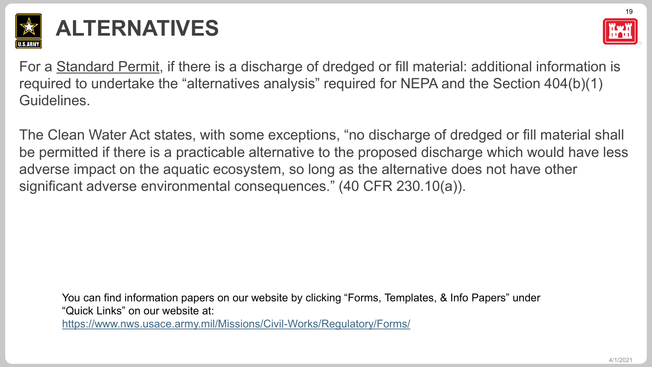

## **ALTERNATIVES**



For a Standard Permit, if there is a discharge of dredged or fill material: additional information is required to undertake the "alternatives analysis" required for NEPA and the Section 404(b)(1) Guidelines.

The Clean Water Act states, with some exceptions, "no discharge of dredged or fill material shall be permitted if there is a practicable alternative to the proposed discharge which would have less adverse impact on the aquatic ecosystem, so long as the alternative does not have other significant adverse environmental consequences." (40 CFR 230.10(a)).

You can find information papers on our website by clicking "Forms, Templates, & Info Papers" under "Quick Links" on our website at:

<https://www.nws.usace.army.mil/Missions/Civil-Works/Regulatory/Forms/>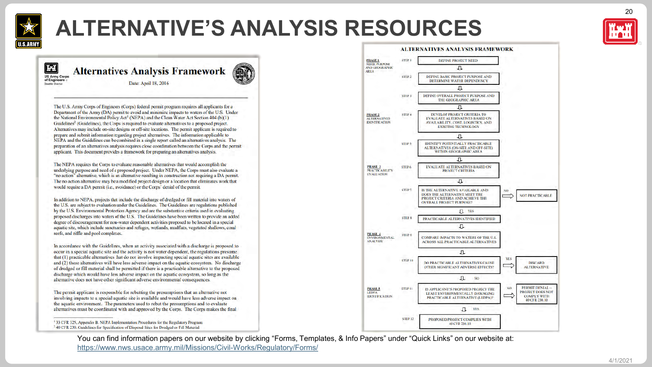

## **ALTERNATIVE'S ANALYSIS RESOURCES**



20

**THAT Alternatives Analysis Framework US Army Corps** of Engineers Date: April 18, 2016 Seattle District

The U.S. Army Corps of Engineers (Corps) federal permit program requires all applicants for a Department of the Army (DA) permit to avoid and minimize impacts to waters of the U.S. Under the National Environmental Policy Act<sup>1</sup> (NEPA) and the Clean Water Act Section 404 (b)(1) Guidelines<sup>2</sup> (Guidelines), the Corps is required to evaluate alternatives to a proposed project. Alternatives may include on-site designs or off-site locations. The permit applicant is required to prepare and submit information regarding project alternatives. The information applicable to NEPA and the Guidelines can be combined in a single report called an alternatives analysis. The preparation of an alternatives analysis requires close coordination between the Corps and the permit applicant. This document provides a framework for preparing an alternatives analysis.

The NEPA requires the Corps to evaluate reasonable alternatives that would accomplish the underlying purpose and need of a proposed project. Under NEPA, the Corps must also evaluate a "no action" alternative, which is an alternative resulting in construction not requiring a DA permit. The no action alternative may be a modified project design or a location that eliminates work that would require a DA permit (i.e., avoidance) or the Corps' denial of the permit.

In addition to NEPA, projects that include the discharge of dredged or fill material into waters of the U.S. are subject to evaluation under the Guidelines. The Guidelines are regulations published by the U.S. Environmental Protection Agency and are the substantive criteria used in evaluating proposed discharges into waters of the U.S. The Guidelines have been written to provide an added degree of discouragement for non-water dependent activities proposed to be located in a special aquatic site, which include sanctuaries and refuges, wetlands, mudflats, vegetated shallows, coral reefs, and riffle and pool complexes.

In accordance with the Guidelines, when an activity associated with a discharge is proposed to occur in a special aquatic site and the activity is not water dependent, the regulations presume that (1) practicable alternatives that do not involve impacting special aquatic sites are available and (2) these alternatives will have less adverse impact on the aquatic ecosystem. No discharge of dredged or fill material shall be permitted if there is a practicable alternative to the proposed discharge which would have less adverse impact on the aquatic ecosystem, so long as the alternative does not have other significant adverse environmental consequences.

The permit applicant is responsible for rebutting the presumptions that an alternative not involving impacts to a special aquatic site is available and would have less adverse impact on the aquatic environment. The parameters used to rebut the presumptions and to evaluate alternatives must be coordinated with and approved by the Corps. The Corps makes the final

<sup>1</sup> 33 CFR 325, Appendix B. NEPA Implementation Procedures for the Regulatory Program <sup>2</sup> 40 CFR 230. Guidelines for Specification of Disposal Sites for Dredged or Fill Material



You can find information papers on our website by clicking "Forms, Templates, & Info Papers" under "Quick Links" on our website at: <https://www.nws.usace.army.mil/Missions/Civil-Works/Regulatory/Forms/>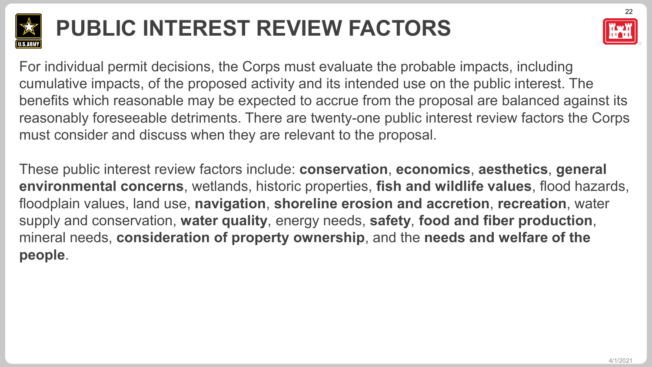

# **PUBLIC INTEREST REVIEW FACTORS**



For individual permit decisions, the Corps must evaluate the probable impacts, including cumulative impacts, of the proposed activity and its intended use on the public interest. The benefits which reasonable may be expected to accrue from the proposal are balanced against its reasonably foreseeable detriments. There are twenty-one public interest review factors the Corps must consider and discuss when they are relevant to the proposal.

These public interest review factors include: **conservation**, **economics**, **aesthetics**, **general environmental concerns**, wetlands, historic properties, **fish and wildlife values**, flood hazards, floodplain values, land use, **navigation**, **shoreline erosion and accretion**, **recreation**, water supply and conservation, **water quality**, energy needs, **safety**, **food and fiber production**, mineral needs, **consideration of property ownership**, and the **needs and welfare of the people**.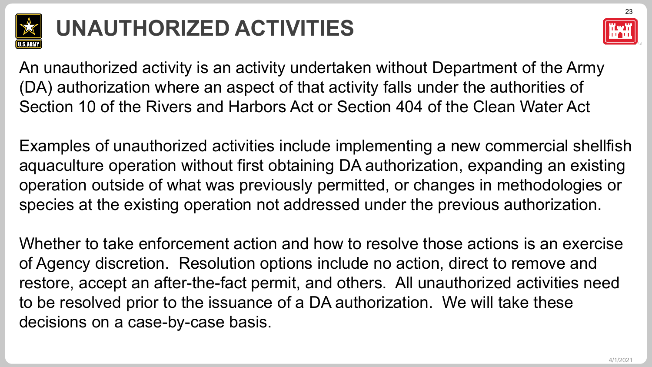

# **UNAUTHORIZED ACTIVITIES**



An unauthorized activity is an activity undertaken without Department of the Army (DA) authorization where an aspect of that activity falls under the authorities of Section 10 of the Rivers and Harbors Act or Section 404 of the Clean Water Act

Examples of unauthorized activities include implementing a new commercial shellfish aquaculture operation without first obtaining DA authorization, expanding an existing operation outside of what was previously permitted, or changes in methodologies or species at the existing operation not addressed under the previous authorization.

Whether to take enforcement action and how to resolve those actions is an exercise of Agency discretion. Resolution options include no action, direct to remove and restore, accept an after-the-fact permit, and others. All unauthorized activities need to be resolved prior to the issuance of a DA authorization. We will take these decisions on a case-by-case basis.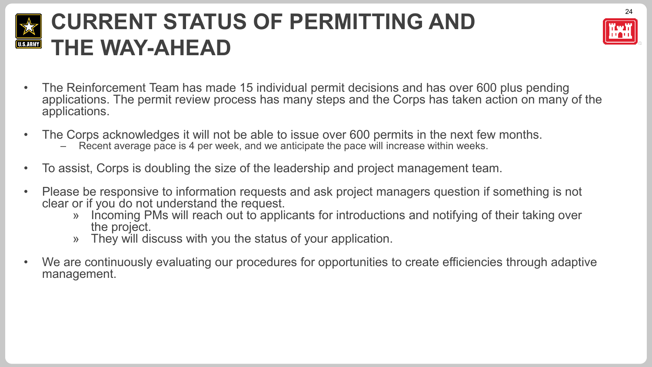#### **CURRENT STATUS OF PERMITTING AND PRESET AND REFAIL** U.S.ARMY **THE WAY-AHEAD**



- The Reinforcement Team has made 15 individual permit decisions and has over 600 plus pending applications. The permit review process has many steps and the Corps has taken action on many of the applications.
- The Corps acknowledges it will not be able to issue over 600 permits in the next few months.
	- Recent average pace is 4 per week, and we anticipate the pace will increase within weeks.
- To assist, Corps is doubling the size of the leadership and project management team.
- Please be responsive to information requests and ask project managers question if something is not clear or if you do not understand the request.
	- » Incoming PMs will reach out to applicants for introductions and notifying of their taking over the project.
	- » They will discuss with you the status of your application.
- We are continuously evaluating our procedures for opportunities to create efficiencies through adaptive management.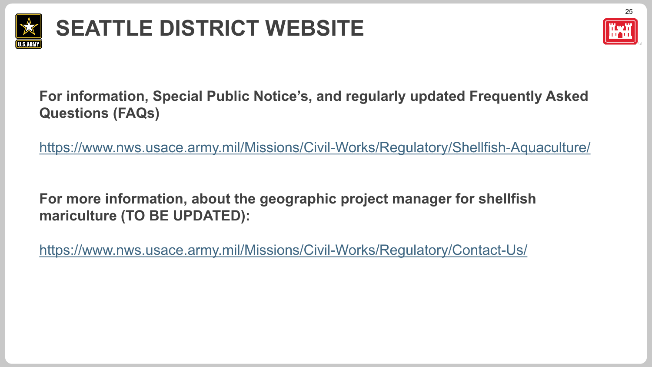

# **SEATTLE DISTRICT WEBSITE**



**For information, Special Public Notice's, and regularly updated Frequently Asked Questions (FAQs)**

<https://www.nws.usace.army.mil/Missions/Civil-Works/Regulatory/Shellfish-Aquaculture/>

**For more information, about the geographic project manager for shellfish mariculture (TO BE UPDATED):**

<https://www.nws.usace.army.mil/Missions/Civil-Works/Regulatory/Contact-Us/>